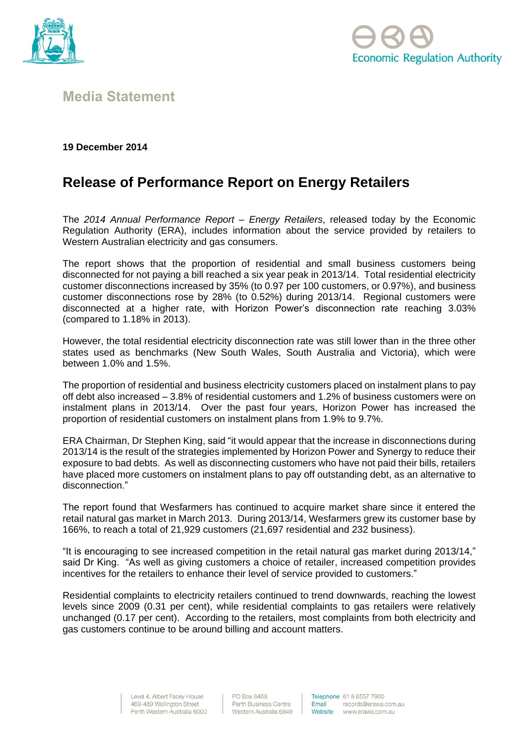



## **Media Statement**

## **19 December 2014**

## **Release of Performance Report on Energy Retailers**

The *2014 Annual Performance Report – Energy Retailers*, released today by the Economic Regulation Authority (ERA), includes information about the service provided by retailers to Western Australian electricity and gas consumers.

The report shows that the proportion of residential and small business customers being disconnected for not paying a bill reached a six year peak in 2013/14. Total residential electricity customer disconnections increased by 35% (to 0.97 per 100 customers, or 0.97%), and business customer disconnections rose by 28% (to 0.52%) during 2013/14. Regional customers were disconnected at a higher rate, with Horizon Power's disconnection rate reaching 3.03% (compared to 1.18% in 2013).

However, the total residential electricity disconnection rate was still lower than in the three other states used as benchmarks (New South Wales, South Australia and Victoria), which were between 1.0% and 1.5%.

The proportion of residential and business electricity customers placed on instalment plans to pay off debt also increased – 3.8% of residential customers and 1.2% of business customers were on instalment plans in 2013/14. Over the past four years, Horizon Power has increased the proportion of residential customers on instalment plans from 1.9% to 9.7%.

ERA Chairman, Dr Stephen King, said "it would appear that the increase in disconnections during 2013/14 is the result of the strategies implemented by Horizon Power and Synergy to reduce their exposure to bad debts. As well as disconnecting customers who have not paid their bills, retailers have placed more customers on instalment plans to pay off outstanding debt, as an alternative to disconnection."

The report found that Wesfarmers has continued to acquire market share since it entered the retail natural gas market in March 2013. During 2013/14, Wesfarmers grew its customer base by 166%, to reach a total of 21,929 customers (21,697 residential and 232 business).

"It is encouraging to see increased competition in the retail natural gas market during 2013/14," said Dr King. "As well as giving customers a choice of retailer, increased competition provides incentives for the retailers to enhance their level of service provided to customers."

Residential complaints to electricity retailers continued to trend downwards, reaching the lowest levels since 2009 (0.31 per cent), while residential complaints to gas retailers were relatively unchanged (0.17 per cent). According to the retailers, most complaints from both electricity and gas customers continue to be around billing and account matters.